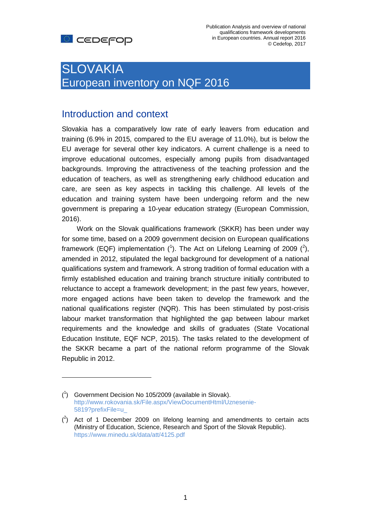# SLOVAKIA European inventory on NQF 2016

### Introduction and context

Slovakia has a comparatively low rate of early leavers from education and training (6.9% in 2015, compared to the EU average of 11.0%), but is below the EU average for several other key indicators. A current challenge is a need to improve educational outcomes, especially among pupils from disadvantaged backgrounds. Improving the attractiveness of the teaching profession and the education of teachers, as well as strengthening early childhood education and care, are seen as key aspects in tackling this challenge. All levels of the education and training system have been undergoing reform and the new government is preparing a 10-year education strategy (European Commission, 2016).

Work on the Slovak qualifications framework (SKKR) has been under way for some time, based on a 2009 government decision on European qualifications framework (EQF) implementation  $(1)$ . The Act on Lifelong Learning of 2009  $(2)$ , amended in 2012, stipulated the legal background for development of a national qualifications system and framework. A strong tradition of formal education with a firmly established education and training branch structure initially contributed to reluctance to accept a framework development; in the past few years, however, more engaged actions have been taken to develop the framework and the national qualifications register (NQR). This has been stimulated by post-crisis labour market transformation that highlighted the gap between labour market requirements and the knowledge and skills of graduates (State Vocational Education Institute, EQF NCP, 2015). The tasks related to the development of the SKKR became a part of the national reform programme of the Slovak Republic in 2012.

<sup>(</sup> 1 ) Government Decision No 105/2009 (available in Slovak). [http://www.rokovania.sk/File.aspx/ViewDocumentHtml/Uznesenie-](http://www.rokovania.sk/File.aspx/ViewDocumentHtml/Uznesenie-5819?prefixFile=u_)[5819?prefixFile=u\\_](http://www.rokovania.sk/File.aspx/ViewDocumentHtml/Uznesenie-5819?prefixFile=u_)

 $(2)$  Act of 1 December 2009 on lifelong learning and amendments to certain acts (Ministry of Education, Science, Research and Sport of the Slovak Republic). <https://www.minedu.sk/data/att/4125.pdf>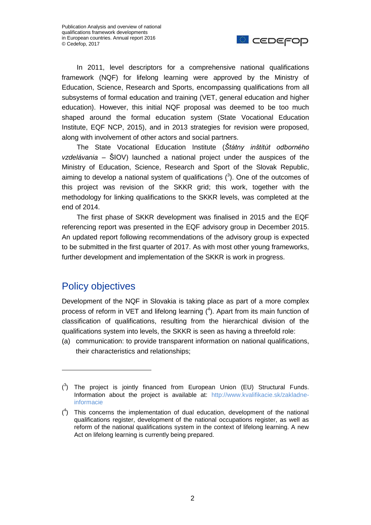

In 2011, level descriptors for a comprehensive national qualifications framework (NQF) for lifelong learning were approved by the Ministry of Education, Science, Research and Sports, encompassing qualifications from all subsystems of formal education and training (VET, general education and higher education). However, this initial NQF proposal was deemed to be too much shaped around the formal education system (State Vocational Education Institute, EQF NCP, 2015), and in 2013 strategies for revision were proposed, along with involvement of other actors and social partners.

The State Vocational Education Institute (*Štátny inštitút odborného vzdelávania* – ŠIOV) launched a national project under the auspices of the Ministry of Education, Science, Research and Sport of the Slovak Republic, aiming to develop a national system of qualifications  $(3)$ . One of the outcomes of this project was revision of the SKKR grid; this work, together with the methodology for linking qualifications to the SKKR levels, was completed at the end of 2014.

The first phase of SKKR development was finalised in 2015 and the EQF referencing report was presented in the EQF advisory group in December 2015. An updated report following recommendations of the advisory group is expected to be submitted in the first quarter of 2017. As with most other young frameworks, further development and implementation of the SKKR is work in progress.

### Policy objectives

Development of the NQF in Slovakia is taking place as part of a more complex process of reform in VET and lifelong learning  $(4)$ . Apart from its main function of classification of qualifications, resulting from the hierarchical division of the qualifications system into levels, the SKKR is seen as having a threefold role:

(a) communication: to provide transparent information on national qualifications, their characteristics and relationships;

 $(^3)$  The project is jointly financed from European Union (EU) Structural Funds. Information about the project is available at: [http://www.kvalifikacie.sk/zakladne](http://www.kvalifikacie.sk/zakladne-informacie)[informacie](http://www.kvalifikacie.sk/zakladne-informacie)

 $(4)$  This concerns the implementation of dual education, development of the national qualifications register, development of the national occupations register, as well as reform of the national qualifications system in the context of lifelong learning. A new Act on lifelong learning is currently being prepared.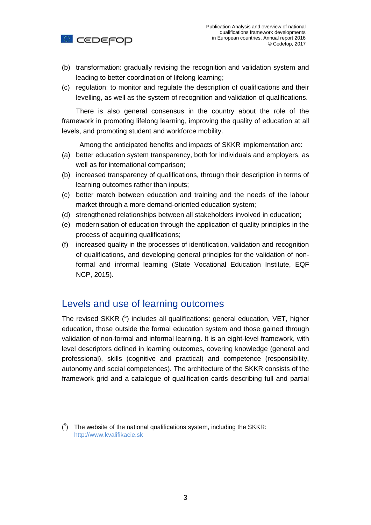

- (b) transformation: gradually revising the recognition and validation system and leading to better coordination of lifelong learning;
- (c) regulation: to monitor and regulate the description of qualifications and their levelling, as well as the system of recognition and validation of qualifications.

There is also general consensus in the country about the role of the framework in promoting lifelong learning, improving the quality of education at all levels, and promoting student and workforce mobility.

Among the anticipated benefits and impacts of SKKR implementation are:

- (a) better education system transparency, both for individuals and employers, as well as for international comparison;
- (b) increased transparency of qualifications, through their description in terms of learning outcomes rather than inputs;
- (c) better match between education and training and the needs of the labour market through a more demand-oriented education system;
- (d) strengthened relationships between all stakeholders involved in education;
- (e) modernisation of education through the application of quality principles in the process of acquiring qualifications;
- (f) increased quality in the processes of identification, validation and recognition of qualifications, and developing general principles for the validation of nonformal and informal learning (State Vocational Education Institute, EQF NCP, 2015).

#### Levels and use of learning outcomes

The revised SKKR  $(^5)$  includes all qualifications: general education, VET, higher education, those outside the formal education system and those gained through validation of non-formal and informal learning. It is an eight-level framework, with level descriptors defined in learning outcomes, covering knowledge (general and professional), skills (cognitive and practical) and competence (responsibility, autonomy and social competences). The architecture of the SKKR consists of the framework grid and a catalogue of qualification cards describing full and partial

 $(5)$  The website of the national qualifications system, including the SKKR: [http://www.kvalifikacie.sk](http://www.kvalifikacie.sk/)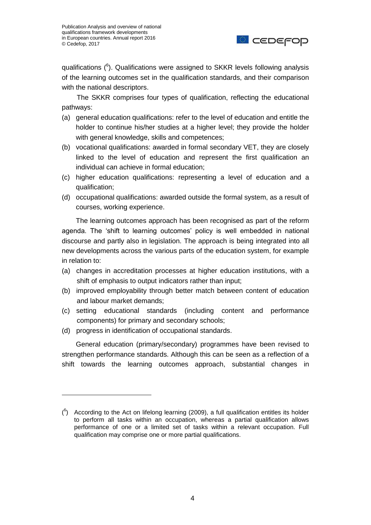

qualifications (<sup>6</sup>). Qualifications were assigned to SKKR levels following analysis of the learning outcomes set in the qualification standards, and their comparison with the national descriptors.

The SKKR comprises four types of qualification, reflecting the educational pathways:

- (a) general education qualifications: refer to the level of education and entitle the holder to continue his/her studies at a higher level; they provide the holder with general knowledge, skills and competences;
- (b) vocational qualifications: awarded in formal secondary VET, they are closely linked to the level of education and represent the first qualification an individual can achieve in formal education;
- (c) higher education qualifications: representing a level of education and a qualification;
- (d) occupational qualifications: awarded outside the formal system, as a result of courses, working experience.

The learning outcomes approach has been recognised as part of the reform agenda. The 'shift to learning outcomes' policy is well embedded in national discourse and partly also in legislation. The approach is being integrated into all new developments across the various parts of the education system, for example in relation to:

- (a) changes in accreditation processes at higher education institutions, with a shift of emphasis to output indicators rather than input;
- (b) improved employability through better match between content of education and labour market demands;
- (c) setting educational standards (including content and performance components) for primary and secondary schools;
- (d) progress in identification of occupational standards.

 $\overline{a}$ 

General education (primary/secondary) programmes have been revised to strengthen performance standards. Although this can be seen as a reflection of a shift towards the learning outcomes approach, substantial changes in

 $(6)$  According to the Act on lifelong learning (2009), a full qualification entitles its holder to perform all tasks within an occupation, whereas a partial qualification allows performance of one or a limited set of tasks within a relevant occupation. Full qualification may comprise one or more partial qualifications.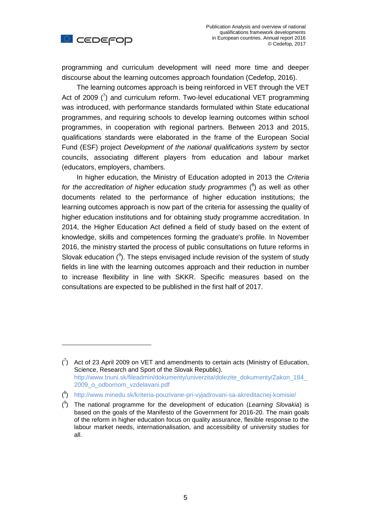

 $\overline{a}$ 

programming and curriculum development will need more time and deeper discourse about the learning outcomes approach foundation (Cedefop, 2016).

The learning outcomes approach is being reinforced in VET through the VET Act of 2009  $(7)$  and curriculum reform. Two-level educational VET programming was introduced, with performance standards formulated within State educational programmes, and requiring schools to develop learning outcomes within school programmes, in cooperation with regional partners. Between 2013 and 2015, qualifications standards were elaborated in the frame of the European Social Fund (ESF) project *Development of the national qualifications system* by sector councils, associating different players from education and labour market (educators, employers, chambers.

In higher education, the Ministry of Education adopted in 2013 the *Criteria*  for the accreditation of higher education study programmes (<sup>8</sup>) as well as other documents related to the performance of higher education institutions; the learning outcomes approach is now part of the criteria for assessing the quality of higher education institutions and for obtaining study programme accreditation. In 2014, the Higher Education Act defined a field of study based on the extent of knowledge, skills and competences forming the graduate's profile. In November 2016, the ministry started the process of public consultations on future reforms in Slovak education  $(9)$ . The steps envisaged include revision of the system of study fields in line with the learning outcomes approach and their reduction in number to increase flexibility in line with SKKR. Specific measures based on the consultations are expected to be published in the first half of 2017.

 $\binom{7}{1}$  Act of 23 April 2009 on VET and amendments to certain acts (Ministry of Education, Science, Research and Sport of the Slovak Republic). [http://www.tnuni.sk/fileadmin/dokumenty/univerzita/dolezite\\_dokumenty/Zakon\\_184\\_](http://www.tnuni.sk/fileadmin/dokumenty/univerzita/dolezite_dokumenty/Zakon_184_2009_o_odbornom_vzdelavani.pdf) [2009\\_o\\_odbornom\\_vzdelavani.pdf](http://www.tnuni.sk/fileadmin/dokumenty/univerzita/dolezite_dokumenty/Zakon_184_2009_o_odbornom_vzdelavani.pdf)

<sup>(</sup> 8 ) <http://www.minedu.sk/kriteria-pouzivane-pri-vyjadrovani-sa-akreditacnej-komisie/>

<sup>(</sup> 9 ) The national programme for the development of education (*Learning Slovakia*) is based on the goals of the Manifesto of the Government for 2016-20. The main goals of the reform in higher education focus on quality assurance, flexible response to the labour market needs, internationalisation, and accessibility of university studies for all.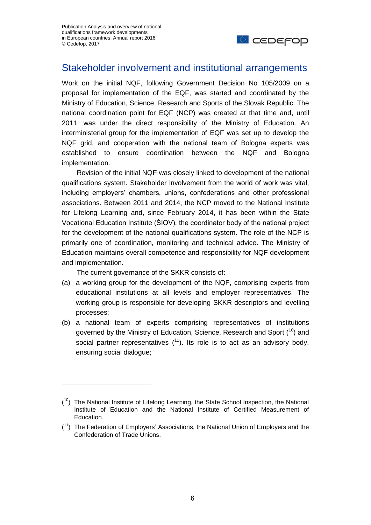

#### Stakeholder involvement and institutional arrangements

Work on the initial NQF, following Government Decision No 105/2009 on a proposal for implementation of the EQF, was started and coordinated by the Ministry of Education, Science, Research and Sports of the Slovak Republic. The national coordination point for EQF (NCP) was created at that time and, until 2011, was under the direct responsibility of the Ministry of Education. An interministerial group for the implementation of EQF was set up to develop the NQF grid, and cooperation with the national team of Bologna experts was established to ensure coordination between the NQF and Bologna implementation.

Revision of the initial NQF was closely linked to development of the national qualifications system. Stakeholder involvement from the world of work was vital, including employers' chambers, unions, confederations and other professional associations. Between 2011 and 2014, the NCP moved to the National Institute for Lifelong Learning and, since February 2014, it has been within the State Vocational Education Institute (ŠIOV), the coordinator body of the national project for the development of the national qualifications system. The role of the NCP is primarily one of coordination, monitoring and technical advice. The Ministry of Education maintains overall competence and responsibility for NQF development and implementation.

The current governance of the SKKR consists of:

- (a) a working group for the development of the NQF, comprising experts from educational institutions at all levels and employer representatives. The working group is responsible for developing SKKR descriptors and levelling processes;
- (b) a national team of experts comprising representatives of institutions governed by the Ministry of Education, Science, Research and Sport  $(10)$  and social partner representatives  $(1)$ . Its role is to act as an advisory body, ensuring social dialogue;

 $(10)$  The National Institute of Lifelong Learning, the State School Inspection, the National Institute of Education and the National Institute of Certified Measurement of Education.

 $(1)$  The Federation of Employers' Associations, the National Union of Employers and the Confederation of Trade Unions.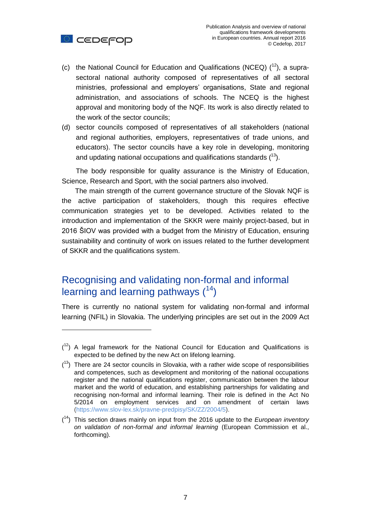

 $\overline{a}$ 

- (c) the National Council for Education and Qualifications (NCEQ)  $(^{12})$ , a suprasectoral national authority composed of representatives of all sectoral ministries, professional and employers' organisations, State and regional administration, and associations of schools. The NCEQ is the highest approval and monitoring body of the NQF. Its work is also directly related to the work of the sector councils;
- (d) sector councils composed of representatives of all stakeholders (national and regional authorities, employers, representatives of trade unions, and educators). The sector councils have a key role in developing, monitoring and updating national occupations and qualifications standards  $(^{13})$ .

The body responsible for quality assurance is the Ministry of Education, Science, Research and Sport, with the social partners also involved.

The main strength of the current governance structure of the Slovak NQF is the active participation of stakeholders, though this requires effective communication strategies yet to be developed. Activities related to the introduction and implementation of the SKKR were mainly project-based, but in 2016 ŠIOV was provided with a budget from the Ministry of Education, ensuring sustainability and continuity of work on issues related to the further development of SKKR and the qualifications system.

## Recognising and validating non-formal and informal learning and learning pathways  $(14)$

There is currently no national system for validating non-formal and informal learning (NFIL) in Slovakia. The underlying principles are set out in the 2009 Act

 $(1<sup>2</sup>)$  A legal framework for the National Council for Education and Qualifications is expected to be defined by the new Act on lifelong learning.

 $(13)$  There are 24 sector councils in Slovakia, with a rather wide scope of responsibilities and competences, such as development and monitoring of the national occupations register and the national qualifications register, communication between the labour market and the world of education, and establishing partnerships for validating and recognising non-formal and informal learning. Their role is defined in the Act No 5/2014 on employment services and on amendment of certain laws [\(https://www.slov-lex.sk/pravne-predpisy/SK/ZZ/2004/5\)](https://www.slov-lex.sk/pravne-predpisy/SK/ZZ/2004/5).

<sup>(</sup> <sup>14</sup>) This section draws mainly on input from the 2016 update to the *European inventory on validation of non-formal and informal learning* (European Commission et al., forthcoming).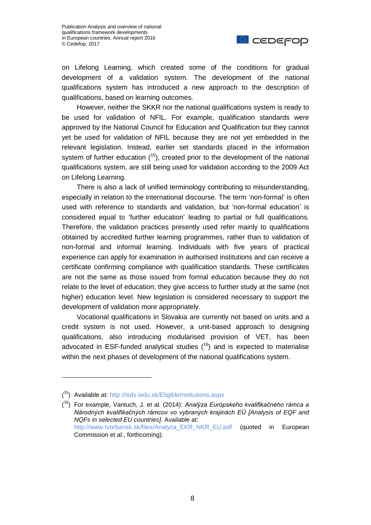

on Lifelong Learning, which created some of the conditions for gradual development of a validation system. The development of the national qualifications system has introduced a new approach to the description of qualifications, based on learning outcomes.

However, neither the SKKR nor the national qualifications system is ready to be used for validation of NFIL. For example, qualification standards were approved by the National Council for Education and Qualification but they cannot yet be used for validation of NFIL because they are not yet embedded in the relevant legislation. Instead, earlier set standards placed in the information system of further education  $(^{15})$ , created prior to the development of the national qualifications system, are still being used for validation according to the 2009 Act on Lifelong Learning.

There is also a lack of unified terminology contributing to misunderstanding, especially in relation to the international discourse. The term 'non-formal' is often used with reference to standards and validation, but 'non-formal education' is considered equal to 'further education' leading to partial or full qualifications. Therefore, the validation practices presently used refer mainly to qualifications obtained by accredited further learning programmes, rather than to validation of non-formal and informal learning. Individuals with five years of practical experience can apply for examination in authorised institutions and can receive a certificate confirming compliance with qualification standards. These certificates are not the same as those issued from formal education because they do not relate to the level of education; they give access to further study at the same (not higher) education level. New legislation is considered necessary to support the development of validation more appropriately.

Vocational qualifications in Slovakia are currently not based on units and a credit system is not used. However, a unit-based approach to designing qualifications, also introducing modularised provision of VET, has been advocated in ESF-funded analytical studies  $(16)$  and is expected to materialise within the next phases of development of the national qualifications system.

<sup>(</sup> <sup>15</sup>) Available at:<http://isdv.iedu.sk/EligibleInstitutions.aspx>

<sup>(</sup> <sup>16</sup>) For example, Vantuch, J. et al. (2014): *Analýza Európskeho kvalifikačného rámca a Národných kvalifikačných rámcov vo vybraných krajinách EÚ [Analysis of EQF and NQFs in selected EU countries]*. Available at: [http://www.tvorbansk.sk/files/Analyza\\_EKR\\_NKR\\_EU.pdf](http://www.tvorbansk.sk/files/Analyza_EKR_NKR_EU.pdf) (quoted in European Commission et al., forthcoming).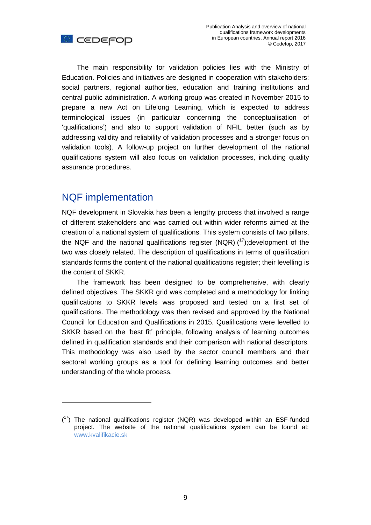



The main responsibility for validation policies lies with the Ministry of Education. Policies and initiatives are designed in cooperation with stakeholders: social partners, regional authorities, education and training institutions and central public administration. A working group was created in November 2015 to prepare a new Act on Lifelong Learning, which is expected to address terminological issues (in particular concerning the conceptualisation of 'qualifications') and also to support validation of NFIL better (such as by addressing validity and reliability of validation processes and a stronger focus on validation tools). A follow-up project on further development of the national qualifications system will also focus on validation processes, including quality assurance procedures.

#### NQF implementation

 $\overline{a}$ 

NQF development in Slovakia has been a lengthy process that involved a range of different stakeholders and was carried out within wider reforms aimed at the creation of a national system of qualifications. This system consists of two pillars, the NQF and the national qualifications register (NQR)  $(^{17})$ ; development of the two was closely related. The description of qualifications in terms of qualification standards forms the content of the national qualifications register; their levelling is the content of SKKR.

The framework has been designed to be comprehensive, with clearly defined objectives. The SKKR grid was completed and a methodology for linking qualifications to SKKR levels was proposed and tested on a first set of qualifications. The methodology was then revised and approved by the National Council for Education and Qualifications in 2015. Qualifications were levelled to SKKR based on the 'best fit' principle, following analysis of learning outcomes defined in qualification standards and their comparison with national descriptors. This methodology was also used by the sector council members and their sectoral working groups as a tool for defining learning outcomes and better understanding of the whole process.

 $(17)$  The national qualifications register (NQR) was developed within an ESF-funded project. The website of the national qualifications system can be found at: [www.kvalifikacie.sk](http://www.kvalifikacie.sk/)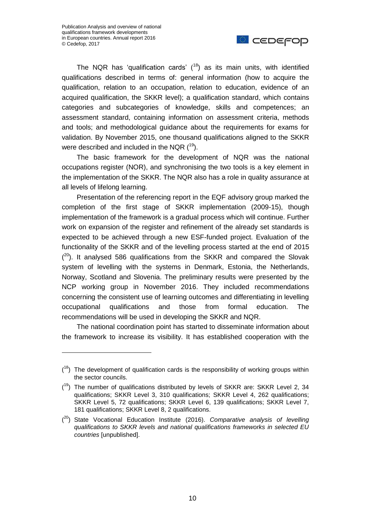$\overline{a}$ 



The NQR has 'qualification cards'  $(^{18})$  as its main units, with identified qualifications described in terms of: general information (how to acquire the qualification, relation to an occupation, relation to education, evidence of an acquired qualification, the SKKR level); a qualification standard, which contains categories and subcategories of knowledge, skills and competences; an assessment standard, containing information on assessment criteria, methods and tools; and methodological guidance about the requirements for exams for validation. By November 2015, one thousand qualifications aligned to the SKKR were described and included in the NQR  $(^{19})$ .

The basic framework for the development of NQR was the national occupations register (NOR), and synchronising the two tools is a key element in the implementation of the SKKR. The NQR also has a role in quality assurance at all levels of lifelong learning.

Presentation of the referencing report in the EQF advisory group marked the completion of the first stage of SKKR implementation (2009-15), though implementation of the framework is a gradual process which will continue. Further work on expansion of the register and refinement of the already set standards is expected to be achieved through a new ESF-funded project. Evaluation of the functionality of the SKKR and of the levelling process started at the end of 2015  $(2^{\circ})$ . It analysed 586 qualifications from the SKKR and compared the Slovak system of levelling with the systems in Denmark, Estonia, the Netherlands, Norway, Scotland and Slovenia. The preliminary results were presented by the NCP working group in November 2016. They included recommendations concerning the consistent use of learning outcomes and differentiating in levelling occupational qualifications and those from formal education. The recommendations will be used in developing the SKKR and NQR.

The national coordination point has started to disseminate information about the framework to increase its visibility. It has established cooperation with the

 $(18)$  The development of qualification cards is the responsibility of working groups within the sector councils.

 $(19)$  The number of qualifications distributed by levels of SKKR are: SKKR Level 2, 34 qualifications; SKKR Level 3, 310 qualifications; SKKR Level 4, 262 qualifications; SKKR Level 5, 72 qualifications; SKKR Level 6, 139 qualifications; SKKR Level 7, 181 qualifications; SKKR Level 8, 2 qualifications.

<sup>(</sup> <sup>20</sup>) State Vocational Education Institute (2016). *Comparative analysis of levelling qualifications to SKKR levels and national qualifications frameworks in selected EU countries* [unpublished].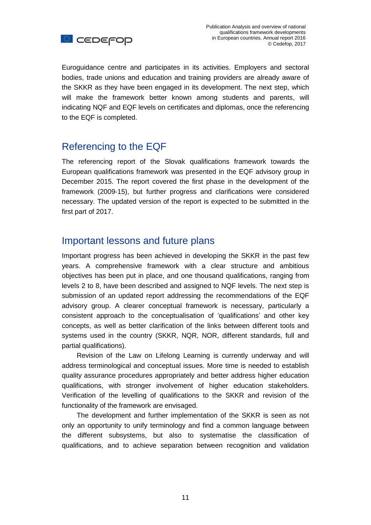

Euroguidance centre and participates in its activities. Employers and sectoral bodies, trade unions and education and training providers are already aware of the SKKR as they have been engaged in its development. The next step, which will make the framework better known among students and parents, will indicating NQF and EQF levels on certificates and diplomas, once the referencing to the EQF is completed.

## Referencing to the EQF

The referencing report of the Slovak qualifications framework towards the European qualifications framework was presented in the EQF advisory group in December 2015. The report covered the first phase in the development of the framework (2009-15), but further progress and clarifications were considered necessary. The updated version of the report is expected to be submitted in the first part of 2017.

#### Important lessons and future plans

Important progress has been achieved in developing the SKKR in the past few years. A comprehensive framework with a clear structure and ambitious objectives has been put in place, and one thousand qualifications, ranging from levels 2 to 8, have been described and assigned to NQF levels. The next step is submission of an updated report addressing the recommendations of the EQF advisory group. A clearer conceptual framework is necessary, particularly a consistent approach to the conceptualisation of 'qualifications' and other key concepts, as well as better clarification of the links between different tools and systems used in the country (SKKR, NQR, NOR, different standards, full and partial qualifications).

Revision of the Law on Lifelong Learning is currently underway and will address terminological and conceptual issues. More time is needed to establish quality assurance procedures appropriately and better address higher education qualifications, with stronger involvement of higher education stakeholders. Verification of the levelling of qualifications to the SKKR and revision of the functionality of the framework are envisaged.

The development and further implementation of the SKKR is seen as not only an opportunity to unify terminology and find a common language between the different subsystems, but also to systematise the classification of qualifications, and to achieve separation between recognition and validation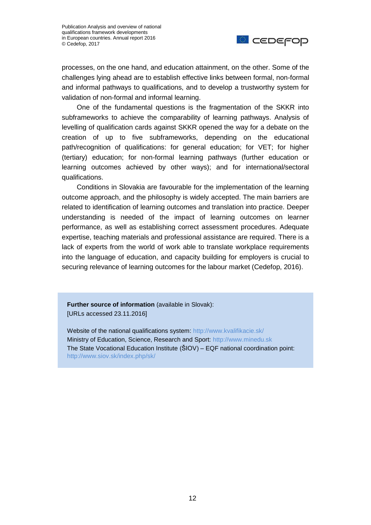

processes, on the one hand, and education attainment, on the other. Some of the challenges lying ahead are to establish effective links between formal, non-formal and informal pathways to qualifications, and to develop a trustworthy system for validation of non-formal and informal learning.

One of the fundamental questions is the fragmentation of the SKKR into subframeworks to achieve the comparability of learning pathways. Analysis of levelling of qualification cards against SKKR opened the way for a debate on the creation of up to five subframeworks, depending on the educational path/recognition of qualifications: for general education; for VET; for higher (tertiary) education; for non-formal learning pathways (further education or learning outcomes achieved by other ways); and for international/sectoral qualifications.

Conditions in Slovakia are favourable for the implementation of the learning outcome approach, and the philosophy is widely accepted. The main barriers are related to identification of learning outcomes and translation into practice. Deeper understanding is needed of the impact of learning outcomes on learner performance, as well as establishing correct assessment procedures. Adequate expertise, teaching materials and professional assistance are required. There is a lack of experts from the world of work able to translate workplace requirements into the language of education, and capacity building for employers is crucial to securing relevance of learning outcomes for the labour market (Cedefop, 2016).

**Further source of information** (available in Slovak): [URLs accessed 23.11.2016]

Website of the national qualifications system:<http://www.kvalifikacie.sk/> Ministry of Education, Science, Research and Sport: [http://www.minedu.sk](http://www.minedu.sk/) The State Vocational Education Institute (ŠIOV) – EQF national coordination point: <http://www.siov.sk/index.php/sk/>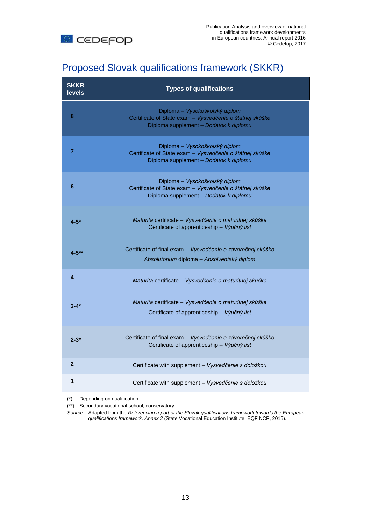

# Proposed Slovak qualifications framework (SKKR)

| <b>SKKR</b><br><b>levels</b> | <b>Types of qualifications</b>                                                                                                       |
|------------------------------|--------------------------------------------------------------------------------------------------------------------------------------|
| 8                            | Diploma – Vysokoškolský diplom<br>Certificate of State exam - Vysvedčenie o štátnej skúške<br>Diploma supplement - Dodatok k diplomu |
| $\overline{7}$               | Diploma – Vysokoškolský diplom<br>Certificate of State exam - Vysvedčenie o štátnej skúške<br>Diploma supplement - Dodatok k diplomu |
| 6                            | Diploma – Vysokoškolský diplom<br>Certificate of State exam - Vysvedčenie o štátnej skúške<br>Diploma supplement - Dodatok k diplomu |
| $4 - 5*$                     | Maturita certificate - Vysvedčenie o maturitnej skúške<br>Certificate of apprenticeship - Výučný list                                |
| $4 - 5**$                    | Certificate of final exam - Vysvedčenie o záverečnej skúške<br>Absolutorium diploma – Absolventský diplom                            |
| 4                            | Maturita certificate - Vysvedčenie o maturitnej skúške                                                                               |
| $3 - 4*$                     | Maturita certificate - Vysvedčenie o maturitnej skúške<br>Certificate of apprenticeship - Výučný list                                |
| $2 - 3*$                     | Certificate of final exam - Vysvedčenie o záverečnej skúške<br>Certificate of apprenticeship - Výučný list                           |
| $\overline{2}$               | Certificate with supplement - Vysvedčenie s doložkou                                                                                 |
| 1                            | Certificate with supplement - Vysvedčenie s doložkou                                                                                 |

(\*) Depending on qualification.

(\*\*) Secondary vocational school, conservatory.

*Source*: Adapted from the *Referencing report of the Slovak qualifications framework towards the European qualifications framework. Annex 2* (State Vocational Education Institute; EQF NCP, 2015).